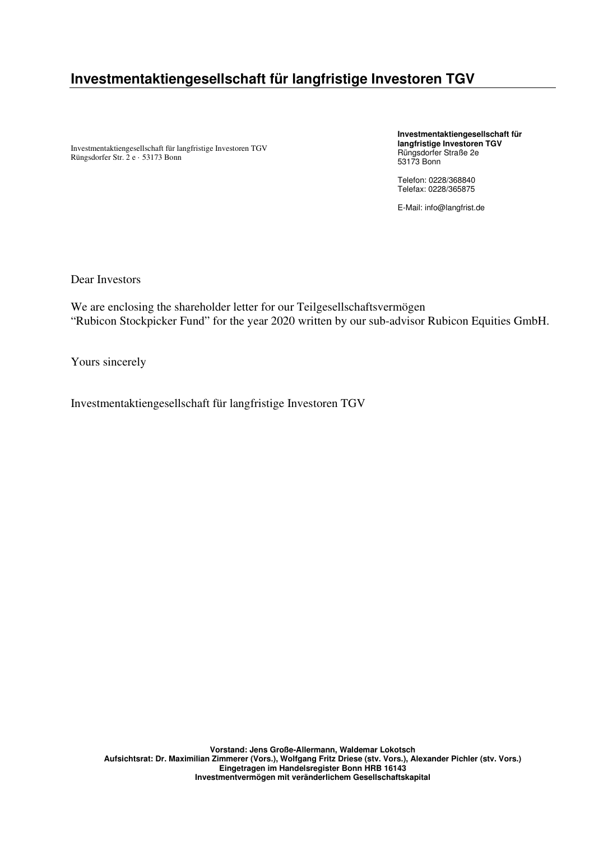# **Investmentaktiengesellschaft für langfristige Investoren TGV**

Investmentaktiengesellschaft für langfristige Investoren TGV Rüngsdorfer Str. 2 e · 53173 Bonn

**Investmentaktiengesellschaft für langfristige Investoren TGV**  Rüngsdorfer Straße 2e 53173 Bonn

Telefon: 0228/368840 Telefax: 0228/365875

E-Mail: info@langfrist.de

Dear Investors

We are enclosing the shareholder letter for our Teilgesellschaftsvermögen "Rubicon Stockpicker Fund" for the year 2020 written by our sub-advisor Rubicon Equities GmbH.

Yours sincerely

Investmentaktiengesellschaft für langfristige Investoren TGV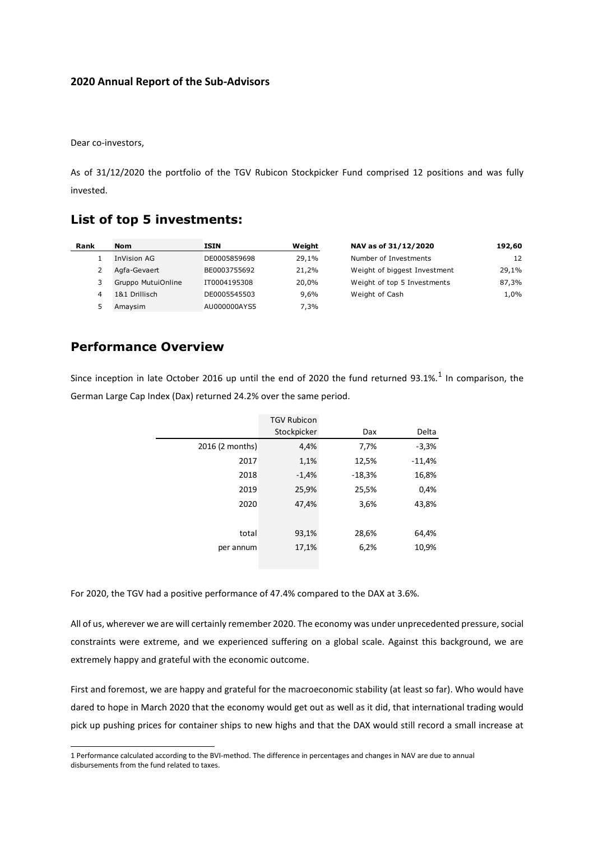### **2020 Annual Report of the Sub-Advisors**

Dear co-investors,

As of 31/12/2020 the portfolio of the TGV Rubicon Stockpicker Fund comprised 12 positions and was fully invested.

## **List of top 5 investments:**

| Rank | <b>Nom</b>         | <b>ISIN</b>  | Weight  | NAV as of 31/12/2020         | 192,60 |
|------|--------------------|--------------|---------|------------------------------|--------|
|      | InVision AG        | DE0005859698 | 29,1%   | Number of Investments        | 12     |
|      | Agfa-Gevaert       | BE0003755692 | 21,2%   | Weight of biggest Investment | 29,1%  |
| 3.   | Gruppo MutuiOnline | IT0004195308 | 20,0%   | Weight of top 5 Investments  | 87,3%  |
| 4    | 1&1 Drillisch      | DE0005545503 | $9.6\%$ | Weight of Cash               | 1,0%   |
|      | Amaysim            | AU000000AYS5 | 7,3%    |                              |        |

## **Performance Overview**

Since inception in late October 2016 up until the end of 2020 the fund returned 93.1%.<sup>1</sup> In comparison, the German Large Cap Index (Dax) returned 24.2% over the same period.

|                 | <b>TGV Rubicon</b> |          |          |
|-----------------|--------------------|----------|----------|
|                 | Stockpicker        | Dax      | Delta    |
| 2016 (2 months) | 4,4%               | 7,7%     | $-3,3%$  |
| 2017            | 1,1%               | 12,5%    | $-11,4%$ |
| 2018            | $-1,4%$            | $-18,3%$ | 16,8%    |
| 2019            | 25,9%              | 25,5%    | 0,4%     |
| 2020            | 47,4%              | 3,6%     | 43,8%    |
|                 |                    |          |          |
| total           | 93,1%              | 28,6%    | 64,4%    |
| per annum       | 17,1%              | 6,2%     | 10,9%    |
|                 |                    |          |          |

For 2020, the TGV had a positive performance of 47.4% compared to the DAX at 3.6%.

All of us, wherever we are will certainly remember 2020. The economy was under unprecedented pressure, social constraints were extreme, and we experienced suffering on a global scale. Against this background, we are extremely happy and grateful with the economic outcome.

First and foremost, we are happy and grateful for the macroeconomic stability (at least so far). Who would have dared to hope in March 2020 that the economy would get out as well as it did, that international trading would pick up pushing prices for container ships to new highs and that the DAX would still record a small increase at

<sup>1</sup> Performance calculated according to the BVI-method. The difference in percentages and changes in NAV are due to annual disbursements from the fund related to taxes.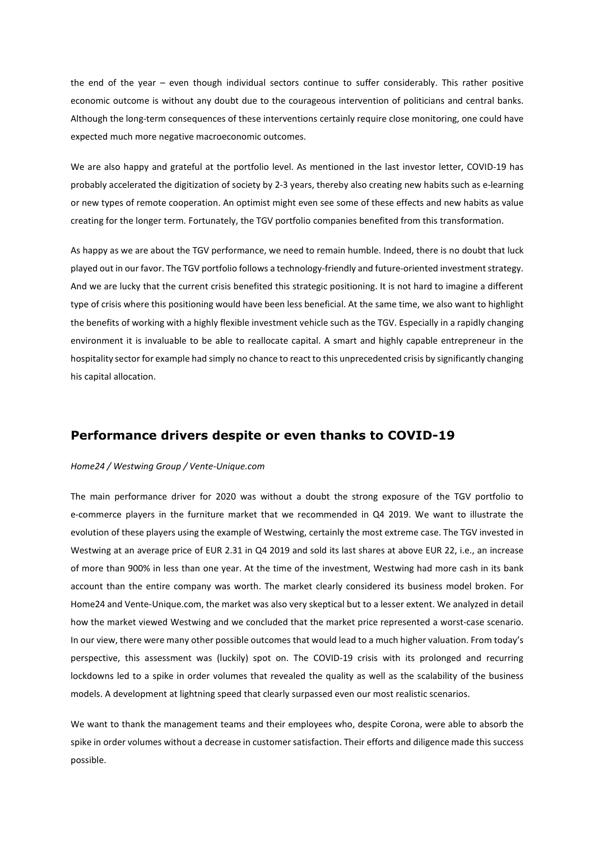the end of the year – even though individual sectors continue to suffer considerably. This rather positive economic outcome is without any doubt due to the courageous intervention of politicians and central banks. Although the long-term consequences of these interventions certainly require close monitoring, one could have expected much more negative macroeconomic outcomes.

We are also happy and grateful at the portfolio level. As mentioned in the last investor letter, COVID-19 has probably accelerated the digitization of society by 2-3 years, thereby also creating new habits such as e-learning or new types of remote cooperation. An optimist might even see some of these effects and new habits as value creating for the longer term. Fortunately, the TGV portfolio companies benefited from this transformation.

As happy as we are about the TGV performance, we need to remain humble. Indeed, there is no doubt that luck played out in our favor. The TGV portfolio follows a technology-friendly and future-oriented investment strategy. And we are lucky that the current crisis benefited this strategic positioning. It is not hard to imagine a different type of crisis where this positioning would have been less beneficial. At the same time, we also want to highlight the benefits of working with a highly flexible investment vehicle such as the TGV. Especially in a rapidly changing environment it is invaluable to be able to reallocate capital. A smart and highly capable entrepreneur in the hospitality sector for example had simply no chance to react to this unprecedented crisis by significantly changing his capital allocation.

## **Performance drivers despite or even thanks to COVID-19**

### *Home24 / Westwing Group / Vente-Unique.com*

The main performance driver for 2020 was without a doubt the strong exposure of the TGV portfolio to e-commerce players in the furniture market that we recommended in Q4 2019. We want to illustrate the evolution of these players using the example of Westwing, certainly the most extreme case. The TGV invested in Westwing at an average price of EUR 2.31 in Q4 2019 and sold its last shares at above EUR 22, i.e., an increase of more than 900% in less than one year. At the time of the investment, Westwing had more cash in its bank account than the entire company was worth. The market clearly considered its business model broken. For Home24 and Vente-Unique.com, the market was also very skeptical but to a lesser extent. We analyzed in detail how the market viewed Westwing and we concluded that the market price represented a worst-case scenario. In our view, there were many other possible outcomes that would lead to a much higher valuation. From today's perspective, this assessment was (luckily) spot on. The COVID-19 crisis with its prolonged and recurring lockdowns led to a spike in order volumes that revealed the quality as well as the scalability of the business models. A development at lightning speed that clearly surpassed even our most realistic scenarios.

We want to thank the management teams and their employees who, despite Corona, were able to absorb the spike in order volumes without a decrease in customer satisfaction. Their efforts and diligence made this success possible.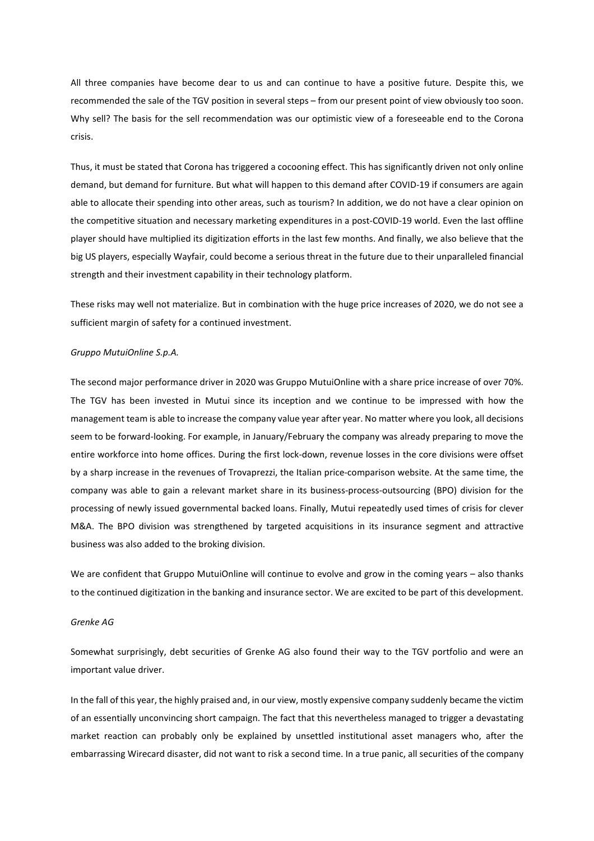All three companies have become dear to us and can continue to have a positive future. Despite this, we recommended the sale of the TGV position in several steps – from our present point of view obviously too soon. Why sell? The basis for the sell recommendation was our optimistic view of a foreseeable end to the Corona crisis.

Thus, it must be stated that Corona has triggered a cocooning effect. This has significantly driven not only online demand, but demand for furniture. But what will happen to this demand after COVID-19 if consumers are again able to allocate their spending into other areas, such as tourism? In addition, we do not have a clear opinion on the competitive situation and necessary marketing expenditures in a post-COVID-19 world. Even the last offline player should have multiplied its digitization efforts in the last few months. And finally, we also believe that the big US players, especially Wayfair, could become a serious threat in the future due to their unparalleled financial strength and their investment capability in their technology platform.

These risks may well not materialize. But in combination with the huge price increases of 2020, we do not see a sufficient margin of safety for a continued investment.

#### *Gruppo MutuiOnline S.p.A.*

The second major performance driver in 2020 was Gruppo MutuiOnline with a share price increase of over 70%. The TGV has been invested in Mutui since its inception and we continue to be impressed with how the management team is able to increase the company value year after year. No matter where you look, all decisions seem to be forward-looking. For example, in January/February the company was already preparing to move the entire workforce into home offices. During the first lock-down, revenue losses in the core divisions were offset by a sharp increase in the revenues of Trovaprezzi, the Italian price-comparison website. At the same time, the company was able to gain a relevant market share in its business-process-outsourcing (BPO) division for the processing of newly issued governmental backed loans. Finally, Mutui repeatedly used times of crisis for clever M&A. The BPO division was strengthened by targeted acquisitions in its insurance segment and attractive business was also added to the broking division.

We are confident that Gruppo MutuiOnline will continue to evolve and grow in the coming years – also thanks to the continued digitization in the banking and insurance sector. We are excited to be part of this development.

#### *Grenke AG*

Somewhat surprisingly, debt securities of Grenke AG also found their way to the TGV portfolio and were an important value driver.

In the fall of this year, the highly praised and, in our view, mostly expensive company suddenly became the victim of an essentially unconvincing short campaign. The fact that this nevertheless managed to trigger a devastating market reaction can probably only be explained by unsettled institutional asset managers who, after the embarrassing Wirecard disaster, did not want to risk a second time. In a true panic, all securities of the company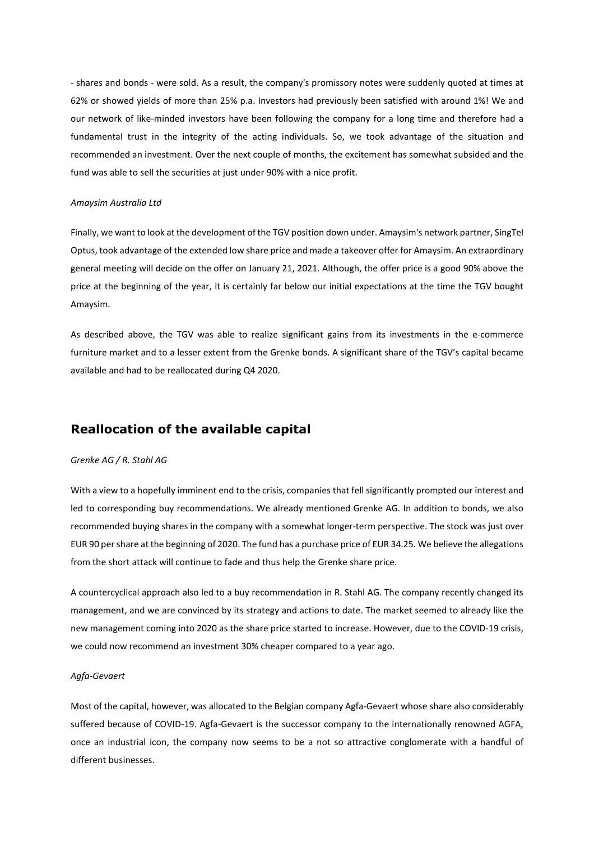- shares and bonds - were sold. As a result, the company's promissory notes were suddenly quoted at times at 62% or showed yields of more than 25% p.a. Investors had previously been satisfied with around 1%! We and our network of like-minded investors have been following the company for a long time and therefore had a fundamental trust in the integrity of the acting individuals. So, we took advantage of the situation and recommended an investment. Over the next couple of months, the excitement has somewhat subsided and the fund was able to sell the securities at just under 90% with a nice profit.

#### *Amaysim Australia Ltd*

Finally, we want to look at the development of the TGV position down under. Amaysim's network partner, SingTel Optus, took advantage of the extended low share price and made a takeover offer for Amaysim. An extraordinary general meeting will decide on the offer on January 21, 2021. Although, the offer price is a good 90% above the price at the beginning of the year, it is certainly far below our initial expectations at the time the TGV bought Amaysim.

As described above, the TGV was able to realize significant gains from its investments in the e-commerce furniture market and to a lesser extent from the Grenke bonds. A significant share of the TGV's capital became available and had to be reallocated during Q4 2020.

## **Reallocation of the available capital**

#### *Grenke AG / R. Stahl AG*

With a view to a hopefully imminent end to the crisis, companies that fell significantly prompted our interest and led to corresponding buy recommendations. We already mentioned Grenke AG. In addition to bonds, we also recommended buying shares in the company with a somewhat longer-term perspective. The stock was just over EUR 90 per share at the beginning of 2020. The fund has a purchase price of EUR 34.25. We believe the allegations from the short attack will continue to fade and thus help the Grenke share price.

A countercyclical approach also led to a buy recommendation in R. Stahl AG. The company recently changed its management, and we are convinced by its strategy and actions to date. The market seemed to already like the new management coming into 2020 as the share price started to increase. However, due to the COVID-19 crisis, we could now recommend an investment 30% cheaper compared to a year ago.

#### *Agfa-Gevaert*

Most of the capital, however, was allocated to the Belgian company Agfa-Gevaert whose share also considerably suffered because of COVID-19. Agfa-Gevaert is the successor company to the internationally renowned AGFA, once an industrial icon, the company now seems to be a not so attractive conglomerate with a handful of different businesses.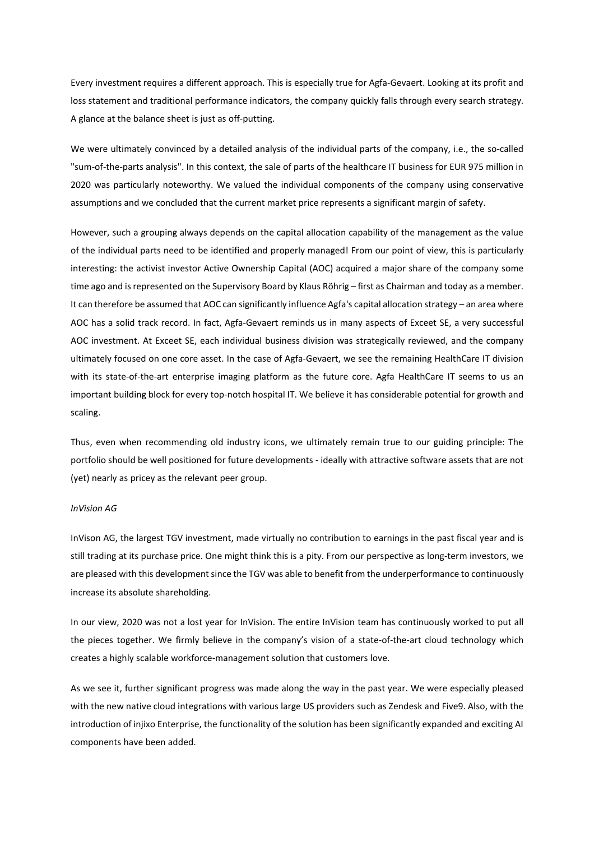Every investment requires a different approach. This is especially true for Agfa-Gevaert. Looking at its profit and loss statement and traditional performance indicators, the company quickly falls through every search strategy. A glance at the balance sheet is just as off-putting.

We were ultimately convinced by a detailed analysis of the individual parts of the company, i.e., the so-called "sum-of-the-parts analysis". In this context, the sale of parts of the healthcare IT business for EUR 975 million in 2020 was particularly noteworthy. We valued the individual components of the company using conservative assumptions and we concluded that the current market price represents a significant margin of safety.

However, such a grouping always depends on the capital allocation capability of the management as the value of the individual parts need to be identified and properly managed! From our point of view, this is particularly interesting: the activist investor Active Ownership Capital (AOC) acquired a major share of the company some time ago and is represented on the Supervisory Board by Klaus Röhrig – first as Chairman and today as a member. It can therefore be assumed that AOC can significantly influence Agfa's capital allocation strategy – an area where AOC has a solid track record. In fact, Agfa-Gevaert reminds us in many aspects of Exceet SE, a very successful AOC investment. At Exceet SE, each individual business division was strategically reviewed, and the company ultimately focused on one core asset. In the case of Agfa-Gevaert, we see the remaining HealthCare IT division with its state-of-the-art enterprise imaging platform as the future core. Agfa HealthCare IT seems to us an important building block for every top-notch hospital IT. We believe it has considerable potential for growth and scaling.

Thus, even when recommending old industry icons, we ultimately remain true to our guiding principle: The portfolio should be well positioned for future developments - ideally with attractive software assets that are not (yet) nearly as pricey as the relevant peer group.

#### *InVision AG*

InVison AG, the largest TGV investment, made virtually no contribution to earnings in the past fiscal year and is still trading at its purchase price. One might think this is a pity. From our perspective as long-term investors, we are pleased with this development since the TGV was able to benefit from the underperformance to continuously increase its absolute shareholding.

In our view, 2020 was not a lost year for InVision. The entire InVision team has continuously worked to put all the pieces together. We firmly believe in the company's vision of a state-of-the-art cloud technology which creates a highly scalable workforce-management solution that customers love.

As we see it, further significant progress was made along the way in the past year. We were especially pleased with the new native cloud integrations with various large US providers such as Zendesk and Five9. Also, with the introduction of injixo Enterprise, the functionality of the solution has been significantly expanded and exciting AI components have been added.